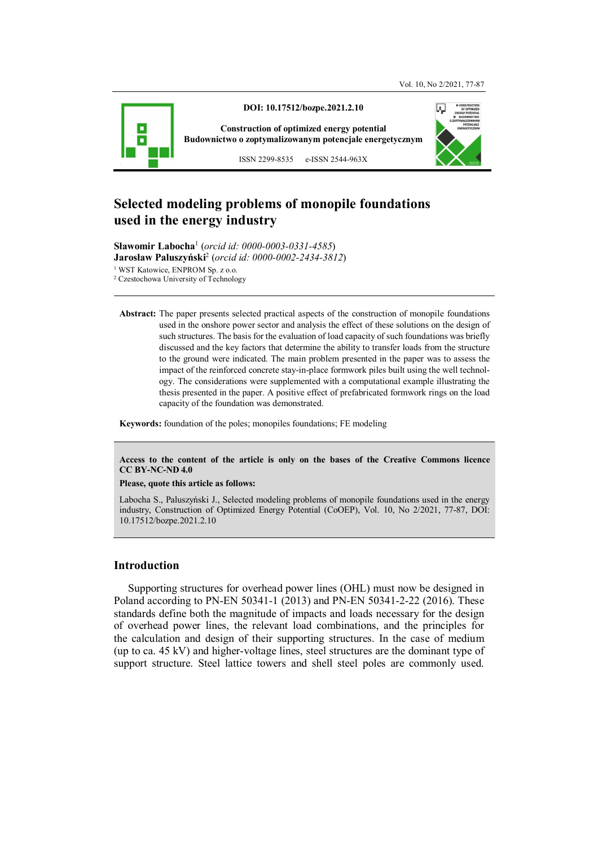

# **Selected modeling problems of monopile foundations used in the energy industry**

**Sławomir Labocha**<sup>1</sup> (*orcid id: 0000-0003-0331-4585*) **Jarosław Paluszyński**<sup>2</sup> (*orcid id: 0000-0002-2434-3812*)

1 WST Katowice, ENPROM Sp. z o.o.

2 Czestochowa University of Technology

**Abstract:** The paper presents selected practical aspects of the construction of monopile foundations used in the onshore power sector and analysis the effect of these solutions on the design of such structures. The basis for the evaluation of load capacity of such foundations was briefly discussed and the key factors that determine the ability to transfer loads from the structure to the ground were indicated. The main problem presented in the paper was to assess the impact of the reinforced concrete stay-in-place formwork piles built using the well technology. The considerations were supplemented with a computational example illustrating the thesis presented in the paper. A positive effect of prefabricated formwork rings on the load capacity of the foundation was demonstrated.

**Keywords:** foundation of the poles; monopiles foundations; FE modeling

**Access to the content of the article is only on the bases of the Creative Commons licence CC BY-NC-ND 4.0** 

#### **Please, quote this article as follows:**

Labocha S., Paluszyński J., Selected modeling problems of monopile foundations used in the energy industry, Construction of Optimized Energy Potential (CoOEP), Vol. 10, No 2/2021, 77-87, DOI: 10.17512/bozpe.2021.2.10

## **Introduction**

Supporting structures for overhead power lines (OHL) must now be designed in Poland according to PN-EN 50341-1 (2013) and PN-EN 50341-2-22 (2016). These standards define both the magnitude of impacts and loads necessary for the design of overhead power lines, the relevant load combinations, and the principles for the calculation and design of their supporting structures. In the case of medium (up to ca. 45 kV) and higher-voltage lines, steel structures are the dominant type of support structure. Steel lattice towers and shell steel poles are commonly used.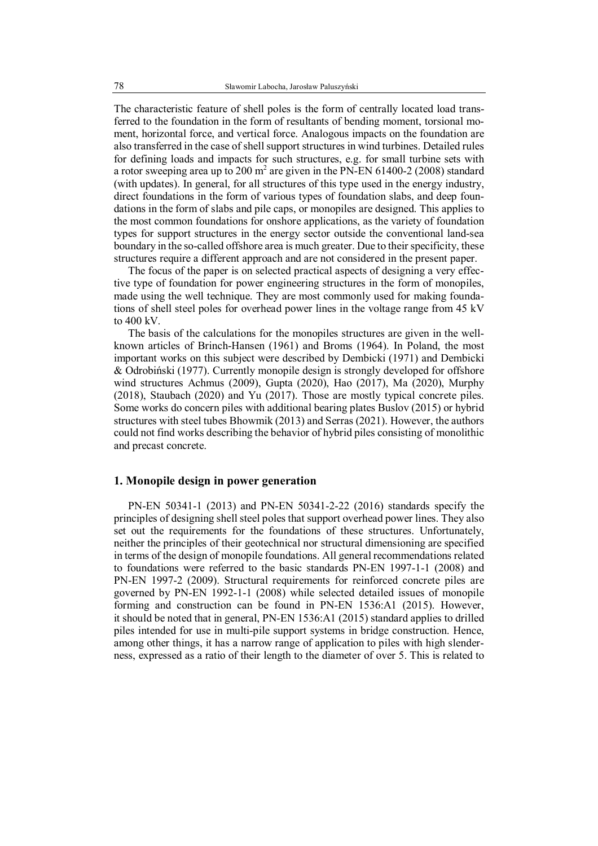The characteristic feature of shell poles is the form of centrally located load transferred to the foundation in the form of resultants of bending moment, torsional moment, horizontal force, and vertical force. Analogous impacts on the foundation are also transferred in the case of shell support structures in wind turbines. Detailed rules for defining loads and impacts for such structures, e.g. for small turbine sets with a rotor sweeping area up to 200 m<sup>2</sup> are given in the PN-EN 61400-2 (2008) standard (with updates). In general, for all structures of this type used in the energy industry, direct foundations in the form of various types of foundation slabs, and deep foundations in the form of slabs and pile caps, or monopiles are designed. This applies to the most common foundations for onshore applications, as the variety of foundation types for support structures in the energy sector outside the conventional land-sea boundary in the so-called offshore area is much greater. Due to their specificity, these structures require a different approach and are not considered in the present paper.

The focus of the paper is on selected practical aspects of designing a very effective type of foundation for power engineering structures in the form of monopiles, made using the well technique. They are most commonly used for making foundations of shell steel poles for overhead power lines in the voltage range from 45 kV to 400 kV.

The basis of the calculations for the monopiles structures are given in the wellknown articles of Brinch-Hansen (1961) and Broms (1964). In Poland, the most important works on this subject were described by Dembicki (1971) and Dembicki & Odrobiński (1977). Currently monopile design is strongly developed for offshore wind structures Achmus (2009), Gupta (2020), Hao (2017), Ma (2020), Murphy (2018), Staubach (2020) and Yu (2017). Those are mostly typical concrete piles. Some works do concern piles with additional bearing plates Buslov (2015) or hybrid structures with steel tubes Bhowmik (2013) and Serras (2021). However, the authors could not find works describing the behavior of hybrid piles consisting of monolithic and precast concrete.

#### **1. Monopile design in power generation**

PN-EN 50341-1 (2013) and PN-EN 50341-2-22 (2016) standards specify the principles of designing shell steel poles that support overhead power lines. They also set out the requirements for the foundations of these structures. Unfortunately, neither the principles of their geotechnical nor structural dimensioning are specified in terms of the design of monopile foundations. All general recommendations related to foundations were referred to the basic standards PN-EN 1997-1-1 (2008) and PN-EN 1997-2 (2009). Structural requirements for reinforced concrete piles are governed by PN-EN 1992-1-1 (2008) while selected detailed issues of monopile forming and construction can be found in PN-EN 1536:A1 (2015). However, it should be noted that in general, PN-EN 1536:A1 (2015) standard applies to drilled piles intended for use in multi-pile support systems in bridge construction. Hence, among other things, it has a narrow range of application to piles with high slenderness, expressed as a ratio of their length to the diameter of over 5. This is related to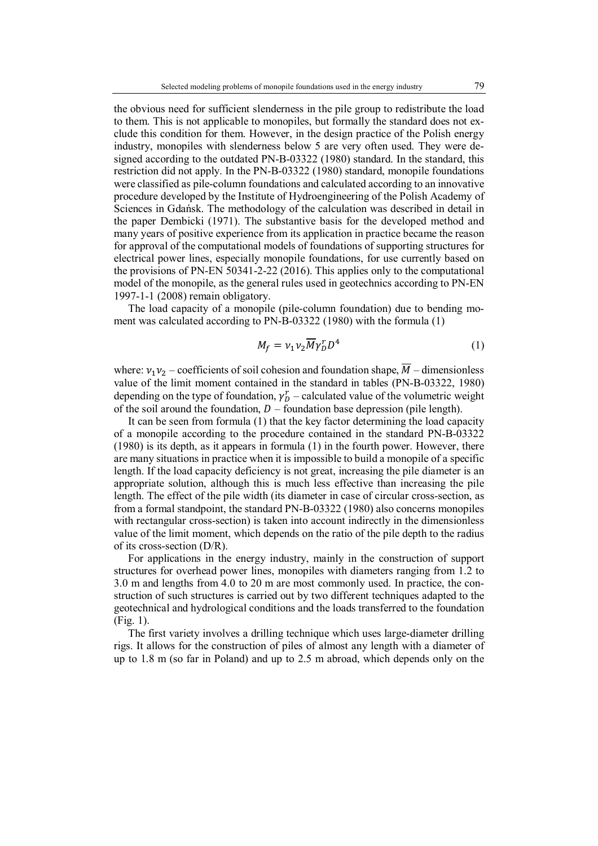the obvious need for sufficient slenderness in the pile group to redistribute the load to them. This is not applicable to monopiles, but formally the standard does not exclude this condition for them. However, in the design practice of the Polish energy industry, monopiles with slenderness below 5 are very often used. They were designed according to the outdated PN-B-03322 (1980) standard. In the standard, this restriction did not apply. In the PN-B-03322 (1980) standard, monopile foundations were classified as pile-column foundations and calculated according to an innovative procedure developed by the Institute of Hydroengineering of the Polish Academy of Sciences in Gdańsk. The methodology of the calculation was described in detail in the paper Dembicki (1971). The substantive basis for the developed method and many years of positive experience from its application in practice became the reason for approval of the computational models of foundations of supporting structures for electrical power lines, especially monopile foundations, for use currently based on the provisions of PN-EN 50341-2-22 (2016). This applies only to the computational model of the monopile, as the general rules used in geotechnics according to PN-EN 1997-1-1 (2008) remain obligatory.

The load capacity of a monopile (pile-column foundation) due to bending moment was calculated according to PN-B-03322 (1980) with the formula (1)

$$
M_f = v_1 v_2 \overline{M} \gamma_D^r D^4 \tag{1}
$$

where:  $v_1v_2$  – coefficients of soil cohesion and foundation shape,  $\overline{M}$  – dimensionless value of the limit moment contained in the standard in tables (PN-B-03322, 1980) depending on the type of foundation,  $\gamma_D^r$  – calculated value of the volumetric weight of the soil around the foundation,  $D$  – foundation base depression (pile length).

It can be seen from formula (1) that the key factor determining the load capacity of a monopile according to the procedure contained in the standard PN-B-03322 (1980) is its depth, as it appears in formula (1) in the fourth power. However, there are many situations in practice when it is impossible to build a monopile of a specific length. If the load capacity deficiency is not great, increasing the pile diameter is an appropriate solution, although this is much less effective than increasing the pile length. The effect of the pile width (its diameter in case of circular cross-section, as from a formal standpoint, the standard PN-B-03322 (1980) also concerns monopiles with rectangular cross-section) is taken into account indirectly in the dimensionless value of the limit moment, which depends on the ratio of the pile depth to the radius of its cross-section (D/R).

For applications in the energy industry, mainly in the construction of support structures for overhead power lines, monopiles with diameters ranging from 1.2 to 3.0 m and lengths from 4.0 to 20 m are most commonly used. In practice, the construction of such structures is carried out by two different techniques adapted to the geotechnical and hydrological conditions and the loads transferred to the foundation (Fig. 1).

The first variety involves a drilling technique which uses large-diameter drilling rigs. It allows for the construction of piles of almost any length with a diameter of up to 1.8 m (so far in Poland) and up to 2.5 m abroad, which depends only on the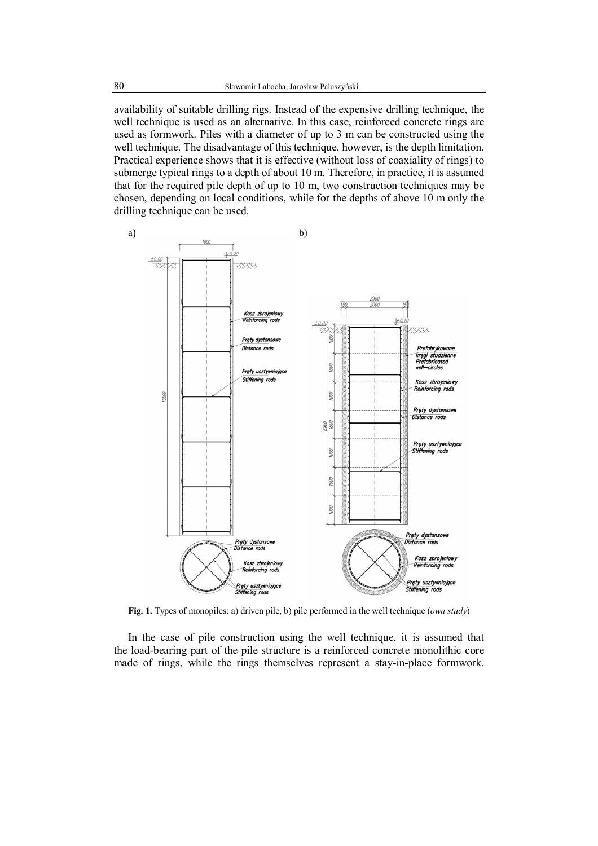availability of suitable drilling rigs. Instead of the expensive drilling technique, the well technique is used as an alternative. In this case, reinforced concrete rings are used as formwork. Piles with a diameter of up to 3 m can be constructed using the well technique. The disadvantage of this technique, however, is the depth limitation. Practical experience shows that it is effective (without loss of coaxiality of rings) to submerge typical rings to a depth of about 10 m. Therefore, in practice, it is assumed that for the required pile depth of up to 10 m, two construction techniques may be chosen, depending on local conditions, while for the depths of above 10 m only the drilling technique can be used.



**Fig. 1.** Types of monopiles: a) driven pile, b) pile performed in the well technique (*own study*)

In the case of pile construction using the well technique, it is assumed that the load-bearing part of the pile structure is a reinforced concrete monolithic core made of rings, while the rings themselves represent a stay-in-place formwork.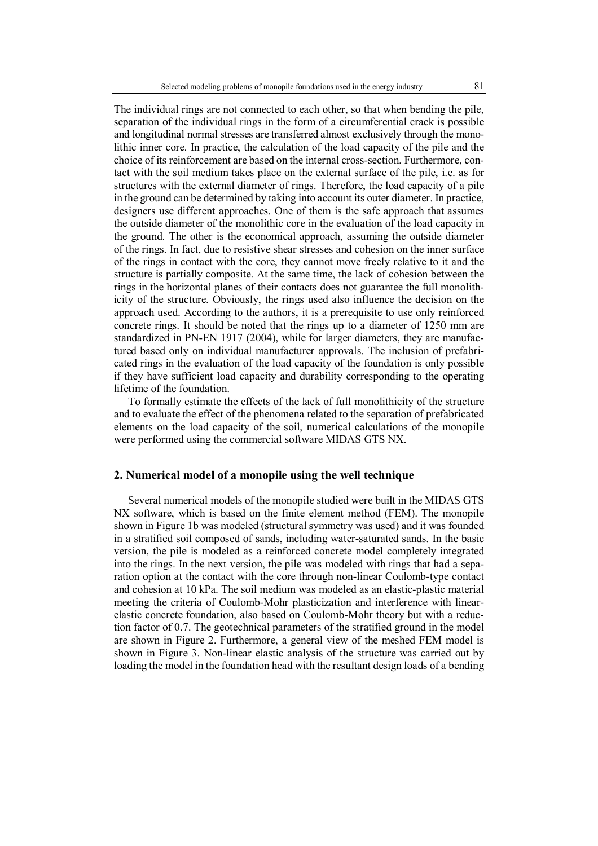The individual rings are not connected to each other, so that when bending the pile, separation of the individual rings in the form of a circumferential crack is possible and longitudinal normal stresses are transferred almost exclusively through the monolithic inner core. In practice, the calculation of the load capacity of the pile and the choice of its reinforcement are based on the internal cross-section. Furthermore, contact with the soil medium takes place on the external surface of the pile, i.e. as for structures with the external diameter of rings. Therefore, the load capacity of a pile in the ground can be determined by taking into account its outer diameter. In practice, designers use different approaches. One of them is the safe approach that assumes the outside diameter of the monolithic core in the evaluation of the load capacity in the ground. The other is the economical approach, assuming the outside diameter of the rings. In fact, due to resistive shear stresses and cohesion on the inner surface of the rings in contact with the core, they cannot move freely relative to it and the structure is partially composite. At the same time, the lack of cohesion between the rings in the horizontal planes of their contacts does not guarantee the full monolithicity of the structure. Obviously, the rings used also influence the decision on the approach used. According to the authors, it is a prerequisite to use only reinforced concrete rings. It should be noted that the rings up to a diameter of 1250 mm are standardized in PN-EN 1917 (2004), while for larger diameters, they are manufactured based only on individual manufacturer approvals. The inclusion of prefabricated rings in the evaluation of the load capacity of the foundation is only possible if they have sufficient load capacity and durability corresponding to the operating lifetime of the foundation.

To formally estimate the effects of the lack of full monolithicity of the structure and to evaluate the effect of the phenomena related to the separation of prefabricated elements on the load capacity of the soil, numerical calculations of the monopile were performed using the commercial software MIDAS GTS NX.

#### **2. Numerical model of a monopile using the well technique**

Several numerical models of the monopile studied were built in the MIDAS GTS NX software, which is based on the finite element method (FEM). The monopile shown in Figure 1b was modeled (structural symmetry was used) and it was founded in a stratified soil composed of sands, including water-saturated sands. In the basic version, the pile is modeled as a reinforced concrete model completely integrated into the rings. In the next version, the pile was modeled with rings that had a separation option at the contact with the core through non-linear Coulomb-type contact and cohesion at 10 kPa. The soil medium was modeled as an elastic-plastic material meeting the criteria of Coulomb-Mohr plasticization and interference with linearelastic concrete foundation, also based on Coulomb-Mohr theory but with a reduction factor of 0.7. The geotechnical parameters of the stratified ground in the model are shown in Figure 2. Furthermore, a general view of the meshed FEM model is shown in Figure 3. Non-linear elastic analysis of the structure was carried out by loading the model in the foundation head with the resultant design loads of a bending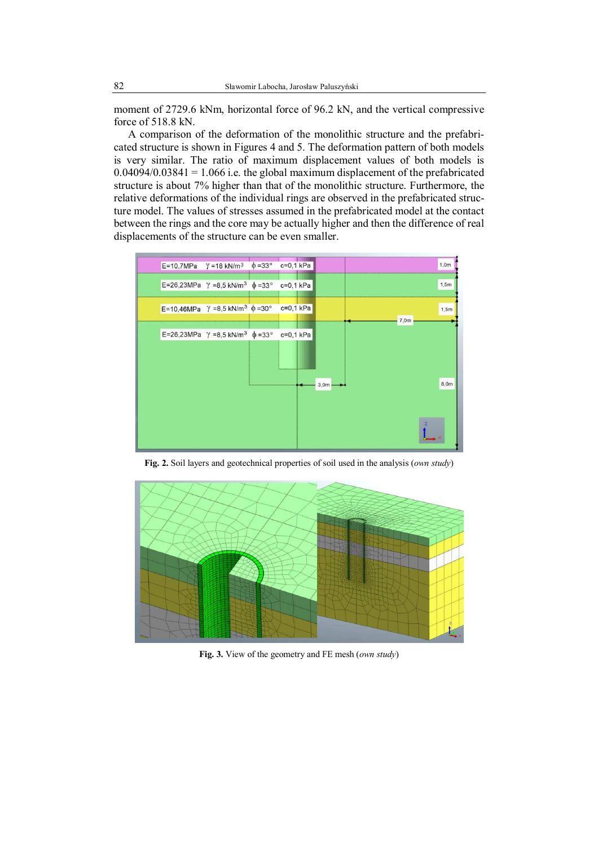moment of 2729.6 kNm, horizontal force of 96.2 kN, and the vertical compressive force of 518.8 kN.

A comparison of the deformation of the monolithic structure and the prefabricated structure is shown in Figures 4 and 5. The deformation pattern of both models is very similar. The ratio of maximum displacement values of both models is  $0.04094/0.03841 = 1.066$  i.e. the global maximum displacement of the prefabricated structure is about 7% higher than that of the monolithic structure. Furthermore, the relative deformations of the individual rings are observed in the prefabricated structure model. The values of stresses assumed in the prefabricated model at the contact between the rings and the core may be actually higher and then the difference of real displacements of the structure can be even smaller.



**Fig. 2.** Soil layers and geotechnical properties of soil used in the analysis (*own study*)



**Fig. 3.** View of the geometry and FE mesh (*own study*)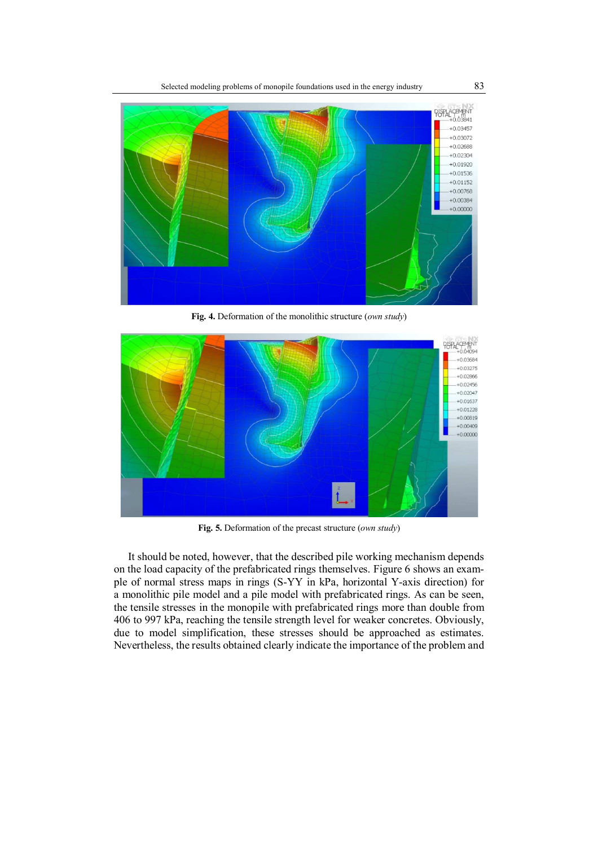

**Fig. 4.** Deformation of the monolithic structure (*own study*)



**Fig. 5.** Deformation of the precast structure (*own study*)

It should be noted, however, that the described pile working mechanism depends on the load capacity of the prefabricated rings themselves. Figure 6 shows an example of normal stress maps in rings (S-YY in kPa, horizontal Y-axis direction) for a monolithic pile model and a pile model with prefabricated rings. As can be seen, the tensile stresses in the monopile with prefabricated rings more than double from 406 to 997 kPa, reaching the tensile strength level for weaker concretes. Obviously, due to model simplification, these stresses should be approached as estimates. Nevertheless, the results obtained clearly indicate the importance of the problem and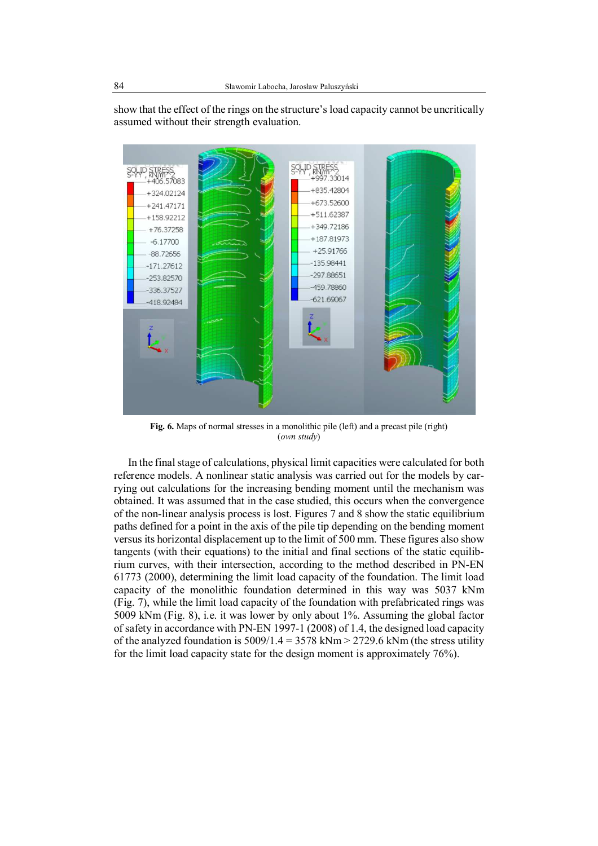show that the effect of the rings on the structure's load capacity cannot be uncritically assumed without their strength evaluation.



**Fig. 6.** Maps of normal stresses in a monolithic pile (left) and a precast pile (right) (*own study*)

In the final stage of calculations, physical limit capacities were calculated for both reference models. A nonlinear static analysis was carried out for the models by carrying out calculations for the increasing bending moment until the mechanism was obtained. It was assumed that in the case studied, this occurs when the convergence of the non-linear analysis process is lost. Figures 7 and 8 show the static equilibrium paths defined for a point in the axis of the pile tip depending on the bending moment versus its horizontal displacement up to the limit of 500 mm. These figures also show tangents (with their equations) to the initial and final sections of the static equilibrium curves, with their intersection, according to the method described in PN-EN 61773 (2000), determining the limit load capacity of the foundation. The limit load capacity of the monolithic foundation determined in this way was 5037 kNm (Fig. 7), while the limit load capacity of the foundation with prefabricated rings was 5009 kNm (Fig. 8), i.e. it was lower by only about 1%. Assuming the global factor of safety in accordance with PN-EN 1997-1 (2008) of 1.4, the designed load capacity of the analyzed foundation is  $5009/1.4 = 3578$  kNm  $> 2729.6$  kNm (the stress utility for the limit load capacity state for the design moment is approximately 76%).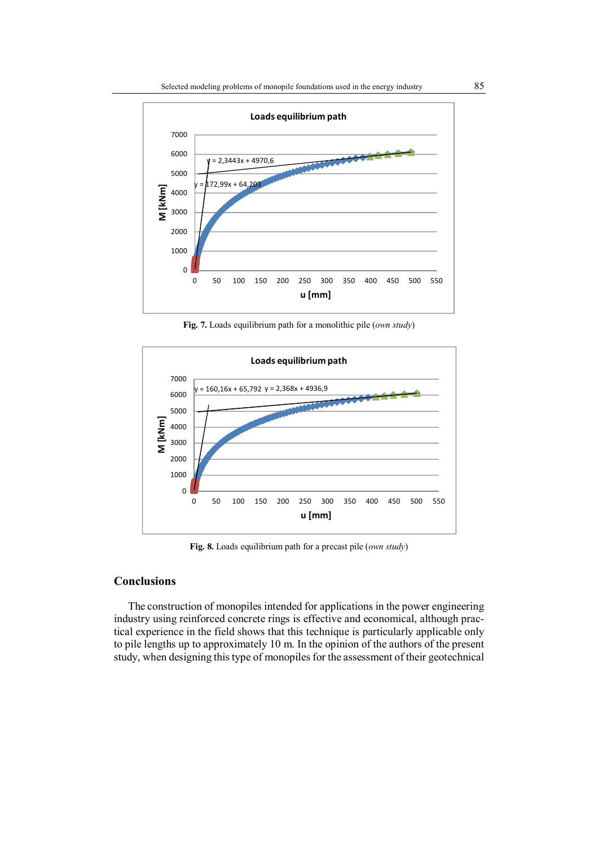

**Fig. 7.** Loads equilibrium path for a monolithic pile (*own study*)



**Fig. 8.** Loads equilibrium path for a precast pile (*own study*)

## **Conclusions**

The construction of monopiles intended for applications in the power engineering industry using reinforced concrete rings is effective and economical, although practical experience in the field shows that this technique is particularly applicable only to pile lengths up to approximately 10 m. In the opinion of the authors of the present study, when designing this type of monopiles for the assessment of their geotechnical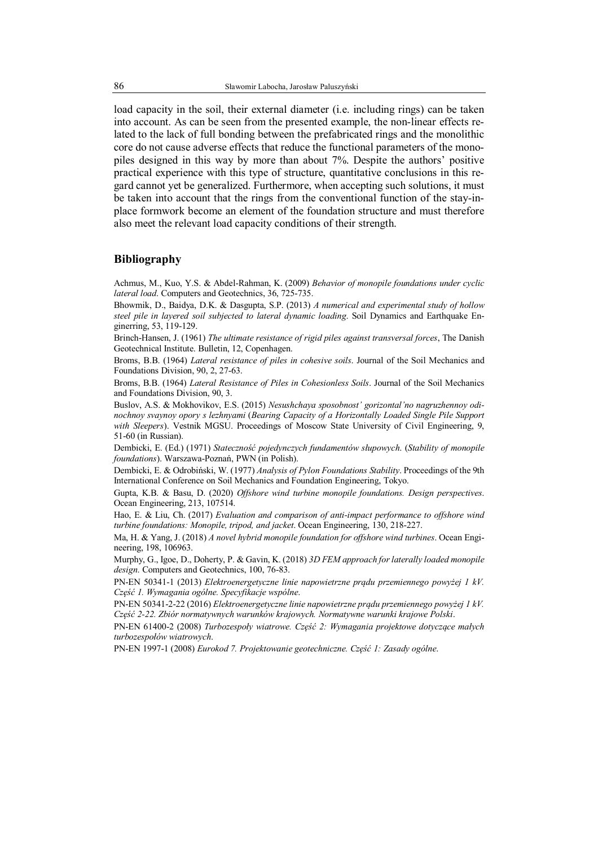load capacity in the soil, their external diameter (i.e. including rings) can be taken into account. As can be seen from the presented example, the non-linear effects related to the lack of full bonding between the prefabricated rings and the monolithic core do not cause adverse effects that reduce the functional parameters of the monopiles designed in this way by more than about 7%. Despite the authors' positive practical experience with this type of structure, quantitative conclusions in this regard cannot yet be generalized. Furthermore, when accepting such solutions, it must be taken into account that the rings from the conventional function of the stay-inplace formwork become an element of the foundation structure and must therefore also meet the relevant load capacity conditions of their strength.

### **Bibliography**

Achmus, M., Kuo, Y.S. & Abdel-Rahman, K. (2009) *Behavior of monopile foundations under cyclic lateral load*. Computers and Geotechnics, 36, 725-735.

Bhowmik, D., Baidya, D.K. & Dasgupta, S.P. (2013) *A numerical and experimental study of hollow steel pile in layered soil subjected to lateral dynamic loading*. Soil Dynamics and Earthquake Enginerring, 53, 119-129.

Brinch-Hansen, J. (1961) *The ultimate resistance of rigid piles against transversal forces*, The Danish Geotechnical Institute. Bulletin, 12, Copenhagen.

Broms, B.B. (1964) *Lateral resistance of piles in cohesive soils*. Journal of the Soil Mechanics and Foundations Division, 90, 2, 27-63.

Broms, B.B. (1964) *Lateral Resistance of Piles in Cohesionless Soils*. Journal of the Soil Mechanics and Foundations Division, 90, 3.

Buslov, A.S. & Mokhovikov, E.S. (2015) *Nesushchaya sposobnost' gorizontal'no nagruzhennoy odinochnoy svaynoy opory s lezhnyami* (*Bearing Capacity of a Horizontally Loaded Single Pile Support with Sleepers*). Vestnik MGSU. Proceedings of Moscow State University of Civil Engineering, 9, 51-60 (in Russian).

Dembicki, E. (Ed.) (1971) *Stateczność pojedynczych fundamentów słupowych*. (*Stability of monopile foundations*). Warszawa-Poznań, PWN (in Polish).

Dembicki, E. & Odrobiński, W. (1977) *Analysis of Pylon Foundations Stability*. Proceedings of the 9th International Conference on Soil Mechanics and Foundation Engineering, Tokyo.

Gupta, K.B. & Basu, D. (2020) *Offshore wind turbine monopile foundations. Design perspectives*. Ocean Engineering, 213, 107514.

Hao, E. & Liu, Ch. (2017) *Evaluation and comparison of anti-impact performance to offshore wind turbine foundations: Monopile, tripod, and jacket*. Ocean Engineering, 130, 218-227.

Ma, H. & Yang, J. (2018) *A novel hybrid monopile foundation for offshore wind turbines*. Ocean Engineering, 198, 106963.

Murphy, G., Igoe, D., Doherty, P. & Gavin, K. (2018) *3D FEM approach for laterally loaded monopile design*. Computers and Geotechnics, 100, 76-83.

PN-EN 50341-1 (2013) *Elektroenergetyczne linie napowietrzne prądu przemiennego powyżej 1 kV. Część 1. Wymagania ogólne. Specyfikacje wspólne*.

PN-EN 50341-2-22 (2016) *Elektroenergetyczne linie napowietrzne prądu przemiennego powyżej 1 kV. Część 2-22. Zbiór normatywnych warunków krajowych. Normatywne warunki krajowe Polski*.

PN-EN 61400-2 (2008) *Turbozespoły wiatrowe. Część 2: Wymagania projektowe dotyczące małych turbozespołów wiatrowych*.

PN-EN 1997-1 (2008) *Eurokod 7. Projektowanie geotechniczne. Część 1: Zasady ogólne*.